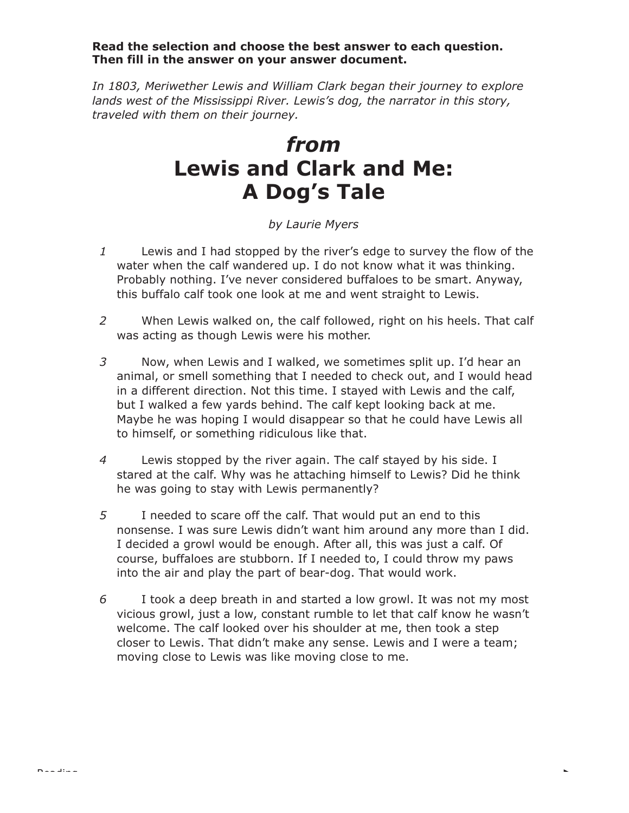## **Read the selection and choose the best answer to each question. Then fill in the answer on your answer document.**

*In 1803, Meriwether Lewis and William Clark began their journey to explore lands west of the Mississippi River. Lewis's dog, the narrator in this story, traveled with them on their journey.*

## *from* **Lewis and Clark and Me: A Dog's Tale**

## *by Laurie Myers*

- *1* Lewis and I had stopped by the river's edge to survey the flow of the water when the calf wandered up. I do not know what it was thinking. Probably nothing. I've never considered buffaloes to be smart. Anyway, this buffalo calf took one look at me and went straight to Lewis.
- *2* When Lewis walked on, the calf followed, right on his heels. That calf was acting as though Lewis were his mother.
- *3* Now, when Lewis and I walked, we sometimes split up. I'd hear an animal, or smell something that I needed to check out, and I would head in a different direction. Not this time. I stayed with Lewis and the calf, but I walked a few yards behind. The calf kept looking back at me. Maybe he was hoping I would disappear so that he could have Lewis all to himself, or something ridiculous like that.
- *4* Lewis stopped by the river again. The calf stayed by his side. I stared at the calf. Why was he attaching himself to Lewis? Did he think he was going to stay with Lewis permanently?
- *5* I needed to scare off the calf. That would put an end to this nonsense. I was sure Lewis didn't want him around any more than I did. I decided a growl would be enough. After all, this was just a calf. Of course, buffaloes are stubborn. If I needed to, I could throw my paws into the air and play the part of bear-dog. That would work.
- *6* I took a deep breath in and started a low growl. It was not my most vicious growl, just a low, constant rumble to let that calf know he wasn't welcome. The calf looked over his shoulder at me, then took a step closer to Lewis. That didn't make any sense. Lewis and I were a team; moving close to Lewis was like moving close to me.

 $\bar{\phantom{a}}$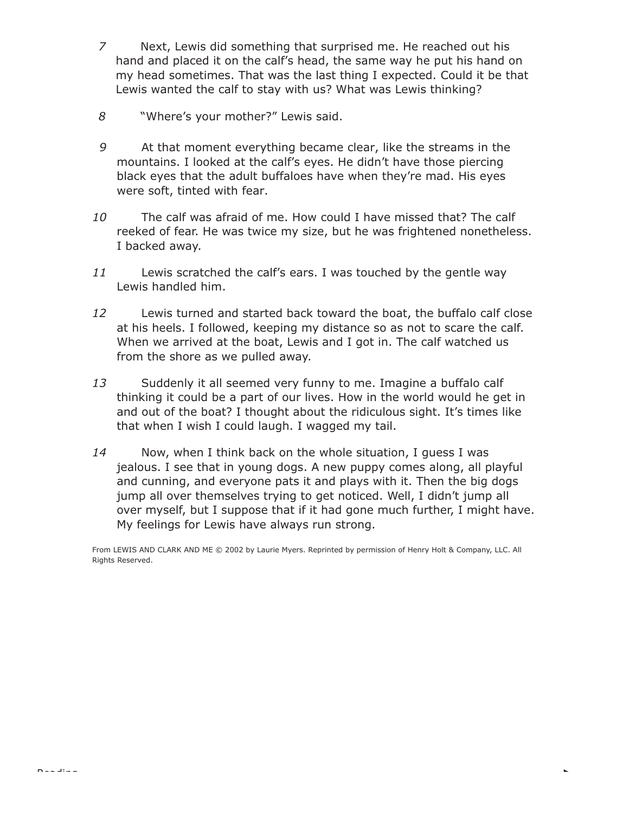- *7* Next, Lewis did something that surprised me. He reached out his hand and placed it on the calf's head, the same way he put his hand on my head sometimes. That was the last thing I expected. Could it be that Lewis wanted the calf to stay with us? What was Lewis thinking?
- *8* "Where's your mother?" Lewis said.
- *9* At that moment everything became clear, like the streams in the mountains. I looked at the calf's eyes. He didn't have those piercing black eyes that the adult buffaloes have when they're mad. His eyes were soft, tinted with fear.
- *10* The calf was afraid of me. How could I have missed that? The calf reeked of fear. He was twice my size, but he was frightened nonetheless. I backed away.
- *11* Lewis scratched the calf's ears. I was touched by the gentle way Lewis handled him.
- *12* Lewis turned and started back toward the boat, the buffalo calf close at his heels. I followed, keeping my distance so as not to scare the calf. When we arrived at the boat, Lewis and I got in. The calf watched us from the shore as we pulled away.
- *13* Suddenly it all seemed very funny to me. Imagine a buffalo calf thinking it could be a part of our lives. How in the world would he get in and out of the boat? I thought about the ridiculous sight. It's times like that when I wish I could laugh. I wagged my tail.
- *14* Now, when I think back on the whole situation, I guess I was jealous. I see that in young dogs. A new puppy comes along, all playful and cunning, and everyone pats it and plays with it. Then the big dogs jump all over themselves trying to get noticed. Well, I didn't jump all over myself, but I suppose that if it had gone much further, I might have. My feelings for Lewis have always run strong.

From LEWIS AND CLARK AND ME © 2002 by Laurie Myers. Reprinted by permission of Henry Holt & Company, LLC. All Rights Reserved.

 $\bar{\phantom{a}}$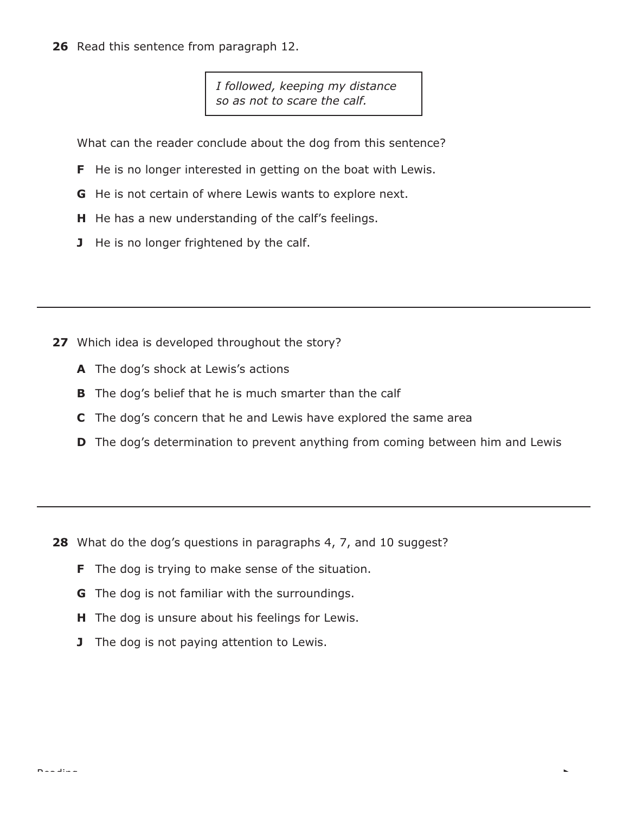**26** Read this sentence from paragraph 12.

*I followed, keeping my distance so as not to scare the calf.*

What can the reader conclude about the dog from this sentence?

- **F** He is no longer interested in getting on the boat with Lewis.
- **G** He is not certain of where Lewis wants to explore next.
- **H** He has a new understanding of the calf's feelings.
- **J** He is no longer frightened by the calf.

- **27** Which idea is developed throughout the story?
	- **A** The dog's shock at Lewis's actions
	- **B** The dog's belief that he is much smarter than the calf
	- **C** The dog's concern that he and Lewis have explored the same area
	- **D** The dog's determination to prevent anything from coming between him and Lewis

- **28** What do the dog's questions in paragraphs 4, 7, and 10 suggest?
	- **F** The dog is trying to make sense of the situation.
	- **G** The dog is not familiar with the surroundings.
	- **H** The dog is unsure about his feelings for Lewis.
	- **J** The dog is not paying attention to Lewis.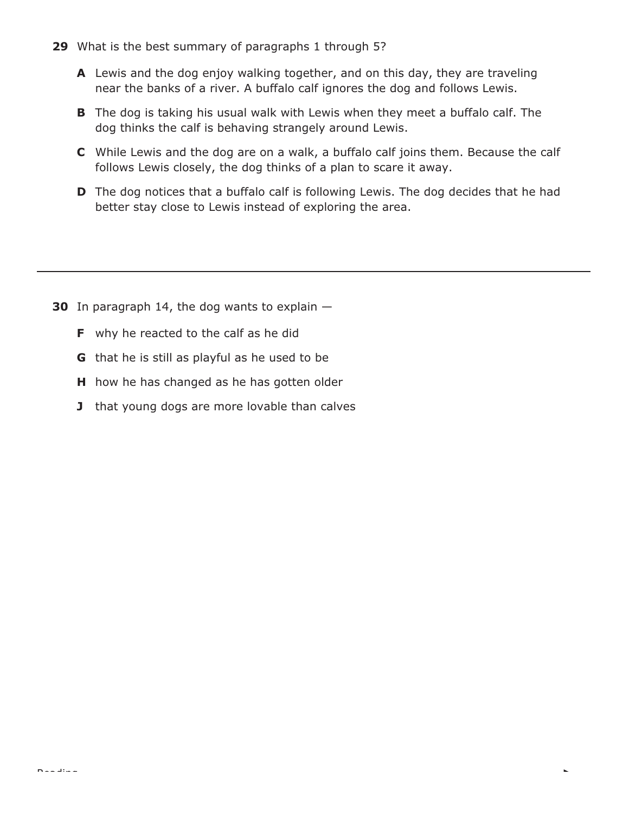- **29** What is the best summary of paragraphs 1 through 5?
	- **A** Lewis and the dog enjoy walking together, and on this day, they are traveling near the banks of a river. A buffalo calf ignores the dog and follows Lewis.
	- **B** The dog is taking his usual walk with Lewis when they meet a buffalo calf. The dog thinks the calf is behaving strangely around Lewis.
	- **C** While Lewis and the dog are on a walk, a buffalo calf joins them. Because the calf follows Lewis closely, the dog thinks of a plan to scare it away.
	- **D** The dog notices that a buffalo calf is following Lewis. The dog decides that he had better stay close to Lewis instead of exploring the area.

L

- **30** In paragraph 14, the dog wants to explain
	- **F** why he reacted to the calf as he did
	- **G** that he is still as playful as he used to be
	- **H** how he has changed as he has gotten older
	- **J** that young dogs are more lovable than calves